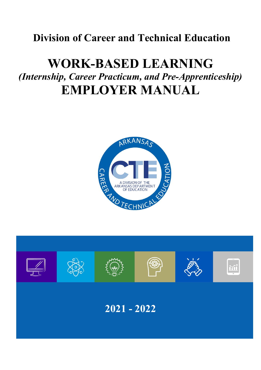# **Division of Career and Technical Education**

# **WORK-BASED LEARNING** *(Internship, Career Practicum, and Pre-Apprenticeship)*  **EMPLOYER MANUAL**



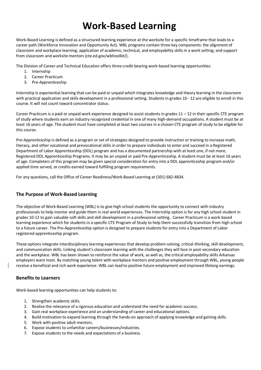# **Work-Based Learning**

Work-Based Learning is defined as a structured learning experience at the worksite for a specific timeframe that leads to a career path (Workforce Innovation and Opportunity Act). WBL programs contain three key components: the alignment of classroom and workplace learning; application of academic, technical, and employability skills in a work setting; and support from classroom and worksite mentors (cte.ed.gov/wbltoolkit/).

The Division of Career and Technical Education offers three credit bearing work-based learning opportunities:

- 1. Internship
- 2. Career Practicum
- 3. Pre-Apprenticeship

Internship is experiential learning that can be paid or unpaid which integrates knowledge and theory learning in the classroom with practical application and skills development in a professional setting. Students in grades 10 - 12 are eligible to enroll in this course. It will not count toward concentrator status.

Career Practicum is a paid or unpaid work experience designed to assist students in grades 11 – 12 in their specific CTE program of study where students earn an industry recognized credential in one of many high-demand occupations. A student must be at least 16 years of age. The student must have completed at least two courses in a chosen CTE program of study to be eligible for this course.

Pre-Apprenticeship is defined as a program or set of strategies designed to provide instruction or training to increase math, literacy, and other vocational and prevocational skills in order to prepare individuals to enter and succeed in a Registered Department of Labor Apprenticeship (DOL) program and has a documented partnership with at least one, if not more, Registered DOL Apprenticeship Programs. It may be an unpaid or paid Pre-Apprenticeship. A student must be at least 16 years of age. Completers of this program may be given special consideration for entry into a DOL apprenticeship program and/or applied time served, or credits earned toward fulfilling program requirements.

For any questions, call the Office of Career Readiness/Work-Based Learning at (501) 682-4834.

# **The Purpose of Work-Based Learning**

The objective of Work-Based Learning (WBL) is to give high school students the opportunity to connect with industry professionals to help mentor and guide them in real world experiences. The Internship option is for any high school student in grades 10-12 to gain valuable soft skills and skill development in a professional setting. Career Practicum is a work-based learning experience which for students in a specific CTE Program of Study to help them successfully transition from high school to a future career. The Pre-Apprenticeship option is designed to prepare students for entry into a Department of Labor registered apprenticeship program.

These options integrate interdisciplinary learning experiences that develop problem-solving, critical-thinking, skill development, and communication skills. Linking student's classroom learning with the challenges they will face in post-secondary education and the workplace. WBL has been shown to reinforce the value of work, as well as, the critical employability skills Arkansas employers want most. By matching young talent with workplace mentors and positive employment through WBL, young people receive a beneficial and rich work experience. WBL can lead to positive future employment and improved lifelong earnings.

### **Benefits to Learners**

Work-based learning opportunities can help students to:

- 1. Strengthen academic skills.
- 2. Realize the relevance of a rigorous education and understand the need for academic success.
- 3. Gain real workplace experience and an understanding of career and educational options.
- 4. Build motivation to expand learning through the hands-on approach of applying knowledge and gaining skills.
- 5. Work with positive adult mentors.
- 6. Expose students to unfamiliar careers/businesses/industries.
- 7. Expose students to the needs and expectations of a business.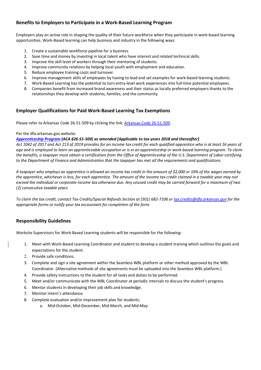# **Benefits to Employers to Participate in a Work-Based Learning Program**

Employers play an active role in shaping the quality of their future workforce when they participate in work-based learning opportunities. Work-Based learning can help business and industry in the following ways:

- 1. Create a sustainable workforce pipeline for a business.
- 2. Save time and money by investing in local talent who have interest and related technical skills.
- 3. Improve the skill level of workers through their mentoring of students.
- 4. Improve community relations by helping local youth with employment and education.
- 5. Reduce employee training costs and turnover.
- 6. Improve management skills of employees by having to lead and set examples for work-based learning students.
- 7. Work-Based Learning has the potential to turn entry-level work experiences into full-time potential employees.
- 8. Companies benefit from increased brand awareness and their status as locally preferred employers thanks to the relationships they develop with students, families, and the community.

## **Employer Qualifications for Paid Work-Based Learning Tax Exemptions**

Please refer to Arkansas Code 26-51-509 by clicking the link: Arkansas Code 26-51-509.

#### Per the dfa.arkansas.gov website:

#### *Apprenticeship Program (ACA §26-51-509) as amended [Applicable to tax years 2018 and thereafter]*

*Act 1042 of 2017 and Act 213 of 2019 provides for an income tax credit for each qualified apprentice who is at least 16 years of age and is employed to learn an apprenticeable occupation or is in an apprenticeship or work-based learning program. To claim the benefits, a taxpayer must obtain a certification from the Office of Apprenticeship of the U.S. Department of Labor certifying to the Department of Finance and Administration that the taxpayer has met all the requirements and qualifications.*

*A taxpayer who employs an apprentice is allowed an income tax credit in the amount of \$2,000 or 10% of the wages earned by the apprentice, whichever is less, for each apprentice. The amount of the income tax credit claimed in a taxable year may not exceed the individual or corporate income tax otherwise due. Any unused credit may be carried forward for a maximum of two (2) consecutive taxable years.*

*To claim the tax credit, contact Tax Credits/Special Refunds Section at (501) 682-7106 or tax.credits@dfa.arkansas.gov for the appropriate forms or notify your tax accountant for completion of the form.*

# **Responsibility Guidelines**

Worksite Supervisors for Work-Based Learning students will be responsible for the following:

- 1. Meet with Work-Based Learning Coordinator and student to develop a student training which outlines the goals and expectations for the student.
- 2. Provide safe conditions.
- 3. Complete and sign a site agreement within the Seamless WBL platform or other method approved by the WBL Coordinator. (Alternative methods of site agreements must be uploaded into the Seamless WBL platform.)
- 4. Provide safety instructions to the student for all tasks and duties to be performed.
- 5. Meet and/or communicate with the WBL Coordinator at periodic intervals to discuss the student's progress.
- 6. Mentor students in developing their job skills and knowledge.
- 7. Monitor intern's attendance.
- 8. Complete evaluation and/or improvement plan for students:
	- a. Mid-October, Mid-December, Mid-March, and Mid-May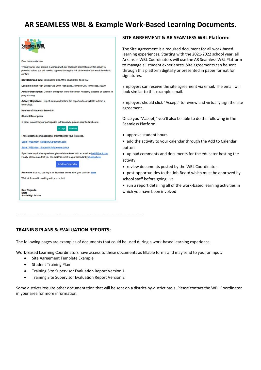# **AR SEAMLESS WBL & Example Work-Based Learning Documents.**

|                                                                                                                                                                                                                                                                                                   | SITE AGREEMENT & AR SEAMLESS WBL Platform:                                                                                                                                                                                                                                                                                                                 |
|---------------------------------------------------------------------------------------------------------------------------------------------------------------------------------------------------------------------------------------------------------------------------------------------------|------------------------------------------------------------------------------------------------------------------------------------------------------------------------------------------------------------------------------------------------------------------------------------------------------------------------------------------------------------|
| Dear James Johnson,<br>Thank you for your interest in working with our students! Information on this activity is<br>provided below; you will need to approve it using the link at the end of this email in order to<br>confirm.<br>Start Date/End Date: 06/26/2020 9:00 AM to 06/26/2020 10:00 AM | The Site Agreement is a required document for all work-based<br>learning experiences. Starting with the 2021-2022 school year, all<br>Arkansas WBL Coordinators will use the AR Seamless WBL Platform<br>to manage all student experiences. Site agreements can be sent<br>through this platform digitally or presented in paper format for<br>signatures. |
| Location: Smith High School, 123 Smith High Lane, Johnson City, Tennessee, 32339,                                                                                                                                                                                                                 | Employers can receive the site agreement via email. The email will                                                                                                                                                                                                                                                                                         |
| Activity Description: Come in and speak to our Freshman Academy students on careers in<br>programming.                                                                                                                                                                                            | look similar to this example email.                                                                                                                                                                                                                                                                                                                        |
| Activity Objectives: Help students understand the opportunities available to them in<br>technology.                                                                                                                                                                                               | Employers should click "Accept" to review and virtually sign the site                                                                                                                                                                                                                                                                                      |
| <b>Number of Students Served: 6</b>                                                                                                                                                                                                                                                               | agreement.                                                                                                                                                                                                                                                                                                                                                 |
| <b>Student Description:</b>                                                                                                                                                                                                                                                                       | Once you "Accept," you'll also be able to do the following in the                                                                                                                                                                                                                                                                                          |
| In order to confirm your participation in this activity, please click the link below:                                                                                                                                                                                                             | Seamless Platform:                                                                                                                                                                                                                                                                                                                                         |
| <b>Decline</b><br>Accen                                                                                                                                                                                                                                                                           |                                                                                                                                                                                                                                                                                                                                                            |
| I have attached some additional information for your reference.                                                                                                                                                                                                                                   | • approve student hours                                                                                                                                                                                                                                                                                                                                    |
| Seam WBLIntern MultipartyAgreement.docx                                                                                                                                                                                                                                                           | • add the activity to your calendar through the Add to Calendar                                                                                                                                                                                                                                                                                            |
| Seam WBLIntern StudentOnlyAgreement.docx                                                                                                                                                                                                                                                          | button                                                                                                                                                                                                                                                                                                                                                     |
| If you have any further questions, please let me know with an email to brett2@nc3t.com.<br>Finally, please note that you can add this event to your calendar by clicking here.                                                                                                                    | • upload comments and documents for the educator hosting the                                                                                                                                                                                                                                                                                               |
|                                                                                                                                                                                                                                                                                                   | activity                                                                                                                                                                                                                                                                                                                                                   |
| <b>Add to Calendar</b>                                                                                                                                                                                                                                                                            | • review documents posted by the WBL Coordinator                                                                                                                                                                                                                                                                                                           |
| Remember that you can log in to Seamless to see all of your activities here.                                                                                                                                                                                                                      | • post opportunities to the Job Board which must be approved by                                                                                                                                                                                                                                                                                            |
| We look forward to working with you on this!                                                                                                                                                                                                                                                      | school staff before going live                                                                                                                                                                                                                                                                                                                             |
|                                                                                                                                                                                                                                                                                                   | • run a report detailing all of the work-based learning activities in                                                                                                                                                                                                                                                                                      |
| <b>Best Regards,</b><br><b>Brett</b><br><b>Smith High School</b>                                                                                                                                                                                                                                  | which you have been involved                                                                                                                                                                                                                                                                                                                               |

# **TRAINING PLANS & EVALUATION REPORTS:**

The following pages are examples of documents that could be used during a work-based learning experience.

Work-Based Learning Coordinators have access to these documents as fillable forms and may send to you for input:

- Site Agreement Template Example
- Student Training Plan
- Training Site Supervisor Evaluation Report Version 1

\_\_\_\_\_\_\_\_\_\_\_\_\_\_\_\_\_\_\_\_\_\_\_\_\_\_\_\_\_\_\_\_\_\_\_\_\_\_\_\_\_\_\_\_\_\_\_\_\_\_\_\_\_\_\_\_\_\_

• Training Site Supervisor Evaluation Report Version 2

Some districts require other documentation that will be sent on a district-by-district basis. Please contact the WBL Coordinator in your area for more information.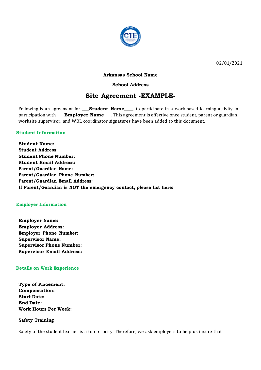

02/01/2021

## **Arkansas School Name**

## **School Address**

# **Site Agreement -EXAMPLE-**

Following is an agreement for **\_\_\_\_Student Name**\_\_\_\_\_ to participate in a work-based learning activity in participation with **\_\_\_Employer Name**\_\_\_. This agreement is effective once student, parent or guardian, worksite supervisor, and WBL coordinator signatures have been added to this document.

### **Student Information**

**Student Name: Student Address: Student Phone Number: Student Email Address: Parent/Guardian Name: Parent/Guardian Phone Number: Parent/Guardian Email Address: If Parent/Guardian is NOT the emergency contact, please list here:**

### **Employer Information**

**Employer Name: Employer Address: Employer Phone Number: Supervisor Name: Supervisor Phone Number: Supervisor Email Address:**

### **Details on Work Experience**

**Type of Placement: Compensation: Start Date: End Date: Work Hours Per Week:**

### **Safety Training**

Safety of the student learner is a top priority. Therefore, we ask employers to help us insure that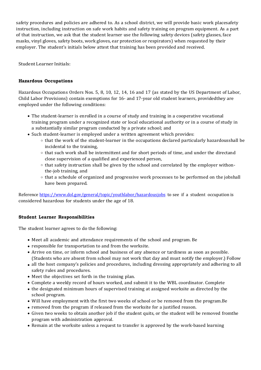safety procedures and policies are adhered to. As a school district, we will provide basic work placesafety instruction, including instruction on safe work habits and safety training on program equipment. As a part of that instruction, we ask that the student learner use the following safety devices (safety glasses, face masks, vinyl gloves, safety boots, work gloves, ear protection or respirators) when requested by their employer. The student's initials below attest that training has been provided and received.

Student Learner Initials:

# **Hazardous Occupations**

Hazardous Occupations Orders Nos. 5, 8, 10, 12, 14, 16 and 17 (as stated by the US Department of Labor, Child Labor Provisions) contain exemptions for 16- and 17-year old student learners, providedthey are employed under the following conditions:

- The student-learner is enrolled in a course of study and training in a cooperative vocational training program under a recognized state or local educational authority or in a course of study in a substantially similar program conducted by a private school; and
- Such student-learner is employed under a written agreement which provides:
	- $\circ$  that the work of the student-learner in the occupations declared particularly hazardousshall be incidental to the training,
	- $\circ$  that such work shall be intermittent and for short periods of time, and under the directand close supervision of a qualified and experienced person,
	- $\circ$  that safety instruction shall be given by the school and correlated by the employer withonthe-job training, and
	- o that a schedule of organized and progressive work processes to be performed on the jobshall have been prepared.

Reference https://www.dol.gov/general/topic/youthlabor/hazardousjobs to see if a student occupation is considered hazardous for students under the age of 18.

# **Student Learner Responsibilities**

The student learner agrees to do the following:

- Meet all academic and attendance requirements of the school and program. Be
- responsible for transportation to and from the worksite.
- Arrive on time, or inform school and business of any absence or tardiness as soon as possible. (Students who are absent from school may not work that day and must notify the employer.) Follow
- all the host company's policies and procedures, including dressing appropriately and adhering to all safety rules and procedures.
- Meet the objectives set forth in the training plan.
- Complete a weekly record of hours worked, and submit it to the WBL coordinator. Complete
- the designated minimum hours of supervised training at assigned worksite as directed by the school program.
- Will have employment with the first two weeks of school or be removed from the program.Be
- removed from the program if released from the worksite for a justified reason.
- Given two weeks to obtain another job if the student quits, or the student will be removed fromthe program with administration approval.
- Remain at the worksite unless a request to transfer is approved by the work-based learning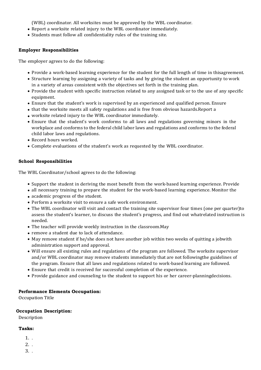(WBL) coordinator. All worksites must be approved by the WBL coordinator.

- Report a worksite related injury to the WBL coordinator immediately.
- Students must follow all confidentiality rules of the training site.

# **Employer Responsibilities**

The employer agrees to do the following:

- Provide a work-based learning experience for the student for the full length of time in thisagreement.
- Structure learning by assigning a variety of tasks and by giving the student an opportunity to work in a variety of areas consistent with the objectives set forth in the training plan.
- Provide the student with specific instruction related to any assigned task or to the use of any specific equipment.
- Ensure that the student's work is supervised by an experienced and qualified person. Ensure
- that the worksite meets all safety regulations and is free from obvious hazards.Report a
- worksite related injury to the WBL coordinator immediately.
- Ensure that the student's work conforms to all laws and regulations governing minors in the workplace and conforms to the federal child labor laws and regulations and conforms to the federal child labor laws and regulations.
- Record hours worked.
- Complete evaluations of the student's work as requested by the WBL coordinator.

# **School Responsibilities**

The WBL Coordinator/school agrees to do the following:

- Support the student in deriving the most benefit from the work-based learning experience. Provide
- all necessary training to prepare the student for the work-based learning experience. Monitor the
- academic progress of the student.
- Perform a worksite visit to ensure a safe work environment.
- The WBL coordinator will visit and contact the training site supervisor four times (one per quarter)to assess the student's learner, to discuss the student's progress, and find out whatrelated instruction is needed.
- The teacher will provide weekly instruction in the classroom. May
- remove a student due to lack of attendance.
- May remove student if he/she does not have another job within two weeks of quitting a jobwith administration support and approval.
- Will ensure all existing rules and regulations of the program are followed. The worksite supervisor and/or WBL coordinator may remove students immediately that are not followingthe guidelines of the program. Ensure that all laws and regulations related to work-based learning are followed.
- Ensure that credit is received for successful completion of the experience.
- Provide guidance and counseling to the student to support his or her career-planningdecisions.

# **Performance Elements Occupation:**

Occupation Title

# **Occupation Description:**

Description

# **Tasks:**

- 1. .
- 2. .
- 3. .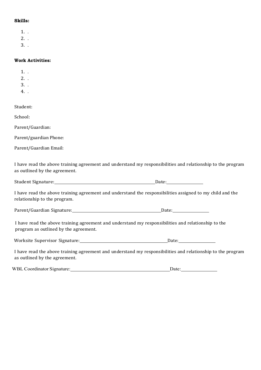## **Skills:**

- 1. .
- $2.$
- 3. .

### **Work Activities:**

- 1. .
- 2. .
- 3. .
- 4. .

Student:

School:

Parent/Guardian:

Parent/guardian Phone:

Parent/Guardian Email:

I have read the above training agreement and understand my responsibilities and relationship to the program as outlined by the agreement.

Student Signature: Date:

I have read the above training agreement and understand the responsibilities assigned to my child and the relationship to the program.

Parent/Guardian Signature: Date:

 I have read the above training agreement and understand my responsibilities and relationship to the program as outlined by the agreement.

I have read the above training agreement and understand my responsibilities and relationship to the program as outlined by the agreement.

| <b>WBL Coordinator Signature:</b> | Date: |
|-----------------------------------|-------|
|-----------------------------------|-------|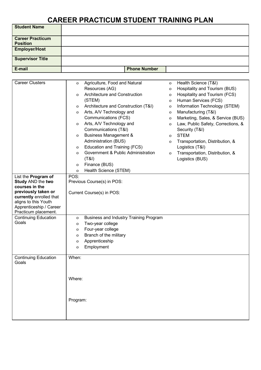# **CAREER PRACTICUM STUDENT TRAINING PLAN**

| <b>Student Name</b>     |                     |
|-------------------------|---------------------|
| <b>Career Practicum</b> |                     |
| <b>Position</b>         |                     |
| <b>Employer/Host</b>    |                     |
| <b>Supervisor Title</b> |                     |
| E-mail                  | <b>Phone Number</b> |

| <b>Career Clusters</b>      | $\mathbf{O}$       | Agriculture, Food and Natural          | 0            | Health Science (T&I)               |
|-----------------------------|--------------------|----------------------------------------|--------------|------------------------------------|
|                             |                    | Resources (AG)                         |              | Hospitality and Tourism (BUS)      |
|                             |                    |                                        | $\mathbf 0$  |                                    |
|                             | 0                  | Architecture and Construction          | $\mathbf 0$  | Hospitality and Tourism (FCS)      |
|                             |                    | (STEM)                                 | 0            | Human Services (FCS)               |
|                             | $\mathbf{O}$       | Architecture and Construction (T&I)    | $\mathbf 0$  | Information Technology (STEM)      |
|                             | $\mathbf{O}$       | Arts, A/V Technology and               | $\mathbf 0$  | Manufacturing (T&I)                |
|                             |                    | Communications (FCS)                   | $\mathbf 0$  | Marketing, Sales, & Service (BUS)  |
|                             | 0                  | Arts, A/V Technology and               | $\mathbf 0$  | Law, Public Safety, Corrections, & |
|                             |                    | Communications (T&I)                   |              | Security (T&I)                     |
|                             | 0                  | <b>Business Management &amp;</b>       | $\mathbf{O}$ | <b>STEM</b>                        |
|                             |                    | Administration (BUS)                   | 0            | Transportation, Distribution, &    |
|                             | 0                  | Education and Training (FCS)           |              | Logistics (T&I)                    |
|                             | $\mathbf{O}$       | Government & Public Administration     | $\mathbf{O}$ | Transportation, Distribution, &    |
|                             |                    | (T&1)                                  |              | Logistics (BUS)                    |
|                             | 0                  | Finance (BUS)                          |              |                                    |
|                             | $\mathbf{O}$       | Health Science (STEM)                  |              |                                    |
| List the Program of         | POS:               |                                        |              |                                    |
| <b>Study AND the two</b>    |                    | Previous Course(s) in POS:             |              |                                    |
| courses in the              |                    |                                        |              |                                    |
| previously taken or         |                    | Current Course(s) in POS:              |              |                                    |
| currently enrolled that     |                    |                                        |              |                                    |
| aligns to this Youth        |                    |                                        |              |                                    |
| Apprenticeship / Career     |                    |                                        |              |                                    |
| Practicum placement.        |                    |                                        |              |                                    |
| <b>Continuing Education</b> | 0                  | Business and Industry Training Program |              |                                    |
| Goals                       | 0                  | Two-year college                       |              |                                    |
|                             | 0                  | Four-year college                      |              |                                    |
|                             | 0                  | Branch of the military                 |              |                                    |
|                             | 0                  | Apprenticeship                         |              |                                    |
|                             | O                  | Employment                             |              |                                    |
|                             |                    |                                        |              |                                    |
| <b>Continuing Education</b> | When:              |                                        |              |                                    |
|                             |                    |                                        |              |                                    |
|                             |                    |                                        |              |                                    |
|                             |                    |                                        |              |                                    |
|                             |                    |                                        |              |                                    |
|                             |                    |                                        |              |                                    |
|                             |                    |                                        |              |                                    |
|                             |                    |                                        |              |                                    |
|                             |                    |                                        |              |                                    |
|                             |                    |                                        |              |                                    |
|                             |                    |                                        |              |                                    |
| Goals                       | Where:<br>Program: |                                        |              |                                    |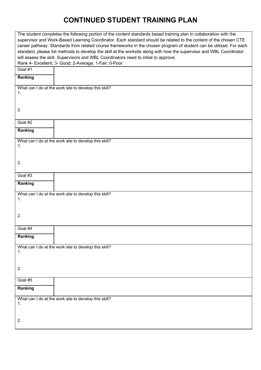# **CONTINUED STUDENT TRAINING PLAN**

|                                                                                                                      | The student completes the following portion of the content standards based training plan in collaboration with the |  |  |  |  |
|----------------------------------------------------------------------------------------------------------------------|--------------------------------------------------------------------------------------------------------------------|--|--|--|--|
| supervisor and Work-Based Learning Coordinator. Each standard should be related to the content of the chosen CTE     |                                                                                                                    |  |  |  |  |
| career pathway. Standards from related course frameworks in the chosen program of student can be utilized. For each  |                                                                                                                    |  |  |  |  |
| standard, please list methods to develop the skill at the worksite along with how the supervisor and WBL Coordinator |                                                                                                                    |  |  |  |  |
| will assess the skill. Supervisors and WBL Coordinators need to initial to approve.                                  |                                                                                                                    |  |  |  |  |
|                                                                                                                      | Rank 4- Excellent; 3- Good; 2-Average; 1-Fair; 0-Poor                                                              |  |  |  |  |
| Goal #1                                                                                                              |                                                                                                                    |  |  |  |  |
| Ranking                                                                                                              |                                                                                                                    |  |  |  |  |
|                                                                                                                      | What can I do at the work site to develop this skill?                                                              |  |  |  |  |
| 1.                                                                                                                   |                                                                                                                    |  |  |  |  |
|                                                                                                                      |                                                                                                                    |  |  |  |  |
| 2.                                                                                                                   |                                                                                                                    |  |  |  |  |
|                                                                                                                      |                                                                                                                    |  |  |  |  |
| Goal #2                                                                                                              |                                                                                                                    |  |  |  |  |
|                                                                                                                      |                                                                                                                    |  |  |  |  |
| Ranking                                                                                                              |                                                                                                                    |  |  |  |  |
|                                                                                                                      | What can I do at the work site to develop this skill?                                                              |  |  |  |  |
| 1.                                                                                                                   |                                                                                                                    |  |  |  |  |
|                                                                                                                      |                                                                                                                    |  |  |  |  |
|                                                                                                                      |                                                                                                                    |  |  |  |  |
| 2.                                                                                                                   |                                                                                                                    |  |  |  |  |
|                                                                                                                      |                                                                                                                    |  |  |  |  |
| Goal #3                                                                                                              |                                                                                                                    |  |  |  |  |
| Ranking                                                                                                              |                                                                                                                    |  |  |  |  |
|                                                                                                                      |                                                                                                                    |  |  |  |  |
|                                                                                                                      |                                                                                                                    |  |  |  |  |
|                                                                                                                      | What can I do at the work site to develop this skill?                                                              |  |  |  |  |
| 1.                                                                                                                   |                                                                                                                    |  |  |  |  |
|                                                                                                                      |                                                                                                                    |  |  |  |  |
|                                                                                                                      |                                                                                                                    |  |  |  |  |
| 2.                                                                                                                   |                                                                                                                    |  |  |  |  |
|                                                                                                                      |                                                                                                                    |  |  |  |  |
| Goal #4                                                                                                              |                                                                                                                    |  |  |  |  |
| Ranking                                                                                                              |                                                                                                                    |  |  |  |  |
|                                                                                                                      |                                                                                                                    |  |  |  |  |
|                                                                                                                      | What can I do at the work site to develop this skill?                                                              |  |  |  |  |
| 1.                                                                                                                   |                                                                                                                    |  |  |  |  |
|                                                                                                                      |                                                                                                                    |  |  |  |  |
| 2.                                                                                                                   |                                                                                                                    |  |  |  |  |
|                                                                                                                      |                                                                                                                    |  |  |  |  |
| Goal #5                                                                                                              |                                                                                                                    |  |  |  |  |
|                                                                                                                      |                                                                                                                    |  |  |  |  |
| Ranking                                                                                                              |                                                                                                                    |  |  |  |  |
|                                                                                                                      | What can I do at the work site to develop this skill?                                                              |  |  |  |  |
| 1.                                                                                                                   |                                                                                                                    |  |  |  |  |
|                                                                                                                      |                                                                                                                    |  |  |  |  |
|                                                                                                                      |                                                                                                                    |  |  |  |  |
| 2.                                                                                                                   |                                                                                                                    |  |  |  |  |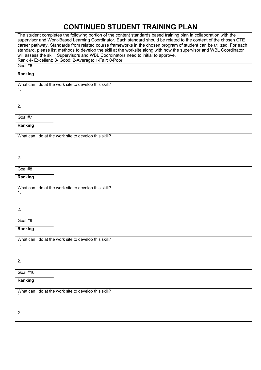# **CONTINUED STUDENT TRAINING PLAN**

|                 | The student completes the following portion of the content standards based training plan in collaboration with the<br>supervisor and Work-Based Learning Coordinator. Each standard should be related to the content of the chosen CTE<br>career pathway. Standards from related course frameworks in the chosen program of student can be utilized. For each<br>standard, please list methods to develop the skill at the worksite along with how the supervisor and WBL Coordinator<br>will assess the skill. Supervisors and WBL Coordinators need to initial to approve.<br>Rank 4- Excellent; 3- Good; 2-Average; 1-Fair; 0-Poor |
|-----------------|---------------------------------------------------------------------------------------------------------------------------------------------------------------------------------------------------------------------------------------------------------------------------------------------------------------------------------------------------------------------------------------------------------------------------------------------------------------------------------------------------------------------------------------------------------------------------------------------------------------------------------------|
| Goal #6         |                                                                                                                                                                                                                                                                                                                                                                                                                                                                                                                                                                                                                                       |
| Ranking         |                                                                                                                                                                                                                                                                                                                                                                                                                                                                                                                                                                                                                                       |
|                 | What can I do at the work site to develop this skill?                                                                                                                                                                                                                                                                                                                                                                                                                                                                                                                                                                                 |
| 1.              |                                                                                                                                                                                                                                                                                                                                                                                                                                                                                                                                                                                                                                       |
|                 |                                                                                                                                                                                                                                                                                                                                                                                                                                                                                                                                                                                                                                       |
| 2.              |                                                                                                                                                                                                                                                                                                                                                                                                                                                                                                                                                                                                                                       |
|                 |                                                                                                                                                                                                                                                                                                                                                                                                                                                                                                                                                                                                                                       |
| Goal #7         |                                                                                                                                                                                                                                                                                                                                                                                                                                                                                                                                                                                                                                       |
|                 |                                                                                                                                                                                                                                                                                                                                                                                                                                                                                                                                                                                                                                       |
| Ranking         |                                                                                                                                                                                                                                                                                                                                                                                                                                                                                                                                                                                                                                       |
|                 | What can I do at the work site to develop this skill?                                                                                                                                                                                                                                                                                                                                                                                                                                                                                                                                                                                 |
| 1.              |                                                                                                                                                                                                                                                                                                                                                                                                                                                                                                                                                                                                                                       |
|                 |                                                                                                                                                                                                                                                                                                                                                                                                                                                                                                                                                                                                                                       |
|                 |                                                                                                                                                                                                                                                                                                                                                                                                                                                                                                                                                                                                                                       |
| 2.              |                                                                                                                                                                                                                                                                                                                                                                                                                                                                                                                                                                                                                                       |
| Goal #8         |                                                                                                                                                                                                                                                                                                                                                                                                                                                                                                                                                                                                                                       |
|                 |                                                                                                                                                                                                                                                                                                                                                                                                                                                                                                                                                                                                                                       |
| Ranking         |                                                                                                                                                                                                                                                                                                                                                                                                                                                                                                                                                                                                                                       |
|                 | What can I do at the work site to develop this skill?                                                                                                                                                                                                                                                                                                                                                                                                                                                                                                                                                                                 |
| 1.              |                                                                                                                                                                                                                                                                                                                                                                                                                                                                                                                                                                                                                                       |
|                 |                                                                                                                                                                                                                                                                                                                                                                                                                                                                                                                                                                                                                                       |
|                 |                                                                                                                                                                                                                                                                                                                                                                                                                                                                                                                                                                                                                                       |
| 2.              |                                                                                                                                                                                                                                                                                                                                                                                                                                                                                                                                                                                                                                       |
|                 |                                                                                                                                                                                                                                                                                                                                                                                                                                                                                                                                                                                                                                       |
| Goal #9         |                                                                                                                                                                                                                                                                                                                                                                                                                                                                                                                                                                                                                                       |
| Ranking         |                                                                                                                                                                                                                                                                                                                                                                                                                                                                                                                                                                                                                                       |
|                 |                                                                                                                                                                                                                                                                                                                                                                                                                                                                                                                                                                                                                                       |
| 1.              | What can I do at the work site to develop this skill?                                                                                                                                                                                                                                                                                                                                                                                                                                                                                                                                                                                 |
|                 |                                                                                                                                                                                                                                                                                                                                                                                                                                                                                                                                                                                                                                       |
|                 |                                                                                                                                                                                                                                                                                                                                                                                                                                                                                                                                                                                                                                       |
| 2.              |                                                                                                                                                                                                                                                                                                                                                                                                                                                                                                                                                                                                                                       |
|                 |                                                                                                                                                                                                                                                                                                                                                                                                                                                                                                                                                                                                                                       |
| <b>Goal #10</b> |                                                                                                                                                                                                                                                                                                                                                                                                                                                                                                                                                                                                                                       |
| Ranking         |                                                                                                                                                                                                                                                                                                                                                                                                                                                                                                                                                                                                                                       |
|                 |                                                                                                                                                                                                                                                                                                                                                                                                                                                                                                                                                                                                                                       |
|                 | What can I do at the work site to develop this skill?                                                                                                                                                                                                                                                                                                                                                                                                                                                                                                                                                                                 |
| 1.              |                                                                                                                                                                                                                                                                                                                                                                                                                                                                                                                                                                                                                                       |
|                 |                                                                                                                                                                                                                                                                                                                                                                                                                                                                                                                                                                                                                                       |
| 2.              |                                                                                                                                                                                                                                                                                                                                                                                                                                                                                                                                                                                                                                       |
|                 |                                                                                                                                                                                                                                                                                                                                                                                                                                                                                                                                                                                                                                       |
|                 |                                                                                                                                                                                                                                                                                                                                                                                                                                                                                                                                                                                                                                       |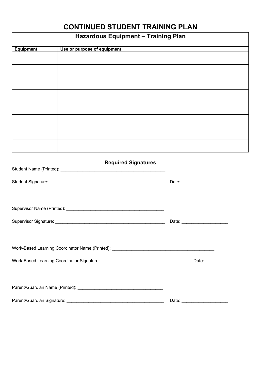# **CONTINUED STUDENT TRAINING PLAN**

|                  | <b>Hazardous Equipment - Training Plan</b> |                                 |
|------------------|--------------------------------------------|---------------------------------|
| <b>Equipment</b> | Use or purpose of equipment                |                                 |
|                  |                                            |                                 |
|                  |                                            |                                 |
|                  |                                            |                                 |
|                  |                                            |                                 |
|                  |                                            |                                 |
|                  |                                            |                                 |
|                  |                                            |                                 |
|                  |                                            |                                 |
|                  | <b>Required Signatures</b>                 |                                 |
|                  |                                            | Date: _________________________ |
|                  |                                            |                                 |
|                  |                                            | Date: _________________________ |
|                  |                                            |                                 |
|                  |                                            |                                 |
|                  |                                            |                                 |
|                  |                                            | Date: ________________________  |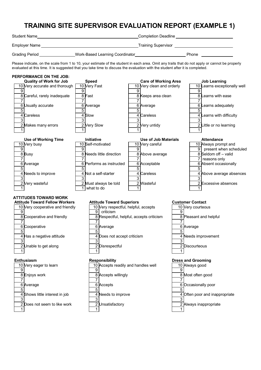# **TRAINING SITE SUPERVISOR EVALUATION REPORT (EXAMPLE 1)**

| <b>Student Name</b> |                                                                                                                              | <b>Completion Deadline</b>                                                                                                                     |  |  |  |
|---------------------|------------------------------------------------------------------------------------------------------------------------------|------------------------------------------------------------------------------------------------------------------------------------------------|--|--|--|
| Employer Name       |                                                                                                                              | <b>Training Supervisor</b>                                                                                                                     |  |  |  |
| Grading Period      | Work-Based Learning Coordinator                                                                                              | Phone                                                                                                                                          |  |  |  |
|                     | evaluated at this time. It is suggested that you take time to discuss the evaluation with the student after it is completed. | Please indicate, on the scale from 1 to 10, your estimate of the student in each area. Omit any traits that do not apply or cannot be properly |  |  |  |

**PERFORMANCE ON THE JOB: Quality of Work for Job Speed Care of Working Area Job Learning** 10 Very accurate and thorough | 10 Very Fast | 10 Very clean and orderly | 10 Learns exceptionally well 9 9 9 9  $\frac{8}{7}$ Careful, rarely inadequate  $\frac{8}{7}$  Fast  $\frac{8}{7}$  Keeps area clean  $\frac{8}{7}$  Learns with ease 7 7 7 7 6 Usually accurate 6 Average 6 Average 6 Average 6 Learns adequately 5 5 5 5 4 Careless 24 Slow 4 Careless 4 Learns with difficulty 3 3 3 3 2 Makes many errors 2 Very Slow 2 Very untidy 2 Little or no learning 1 1 1 1 **Use of Working Time Initiative Use of Job Materials Attendance** 10 Very busy 10 Self-motivated 10 Very careful 10 Always prompt and 9 9 9 9 present when scheduled 8 Busy 8 Needs little direction 8 Above average 8 Seldom off – valid 7 7 7 7 reasons only 6 Average 6 Performs as instructed 6 Acceptable 6 Absent occasionally 5 5 5 5 4 Needs to improve  $\begin{vmatrix} 4 & \text{Not a self-starter} \\ 4 & \text{Careless} \end{vmatrix}$  4 Above average absences 3 3 3 3 2 Very wasteful 2 Must always be told 2 Wasteful 2 Excessive absences 1 1 what to do 1 1

### **ATTITUDES TOWARD WORK**

#### **Attitude Toward Fellow Workers Attitude Toward Superiors Customer Contact** 10 Very cooperative and friendly 10 Very respectful, helpful, accepts 10 Very courteous 9 9 criticism 9 8 Cooperative and friendly **8 Respection All All Accepts criticism** 8 Pleasant and helpful 7 7 7 6 Cooperative **6 Average** 6 Average **6 Average** 6 Average **6 Average**  $5$  5 4 Has a negative attitude 4 Does not accept criticism 4 Needs improvement  $3$  3 2 Unable to get along 2 Disrespectful 2 Disrespectful 2 Discourteous 1 1 1 **Enthusiasm Responsibility Dress and Grooming** 10 Very eager to learn 10 Accepts readily and handles well 10 Always good